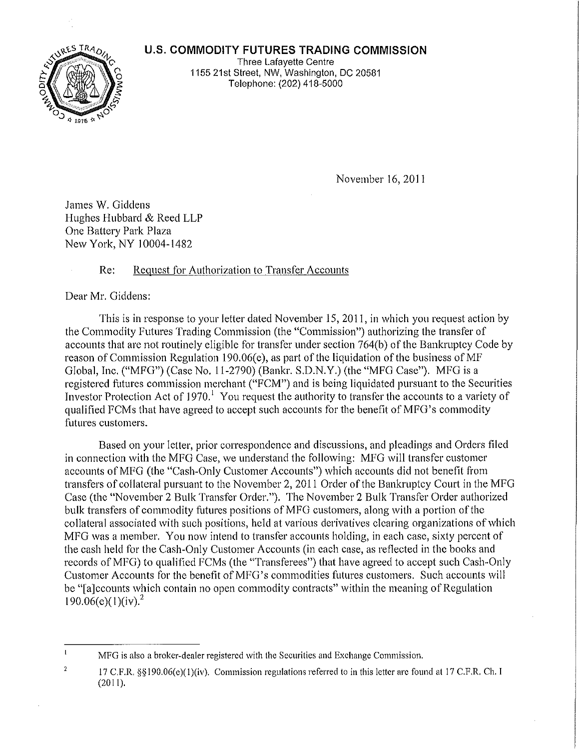## **U.S. COMMODITY FUTURES TRADING COMMISSION**



Three Lafayette Centre 1155 21st Street, NW, Washington, DC 20581 Telephone: (202) 418-5000

November 16,2011

James W. Giddens Hughes Hubbard & Reed LLP One Battery Park Plaza New York, NY 10004-1482

## Re: Request for Authorization to Transfer Accounts

Dear Mr. Giddens:

This is in rcsponse to your letter dated November 15, 2011, in which you request action by the Commodity Futures Trading Commission (the "Commission") authorizing the transfer of accounts that are not routinely eligible for transfer under section 764(b) of the Bankruptcy Code by reason of Commission Regulation 190.06(e), as part of the liquidation of the business of  $MF$ Global, Inc. ("MFG") (Case No. 11-2790) (Bankr. S.D.N.Y.) (the "MFG Case"). MFG is a registered futures commission merchant ("FCM") and is being liquidated pursuant to the Securities Investor Protection Act of 1970.<sup>1</sup> You request the authority to transfer the accounts to a variety of qualified FCMs that have agreed to accept such accounts for the benefit of MFG's commodity futures customers.

Based on your letter, prior correspondence and discussions, and pleadings and Orders filed in connection with the MFG Case, we understand the following: MFG will transfer customer accounts ofMFG (the "Cash-Only Customer Accounts") which accounts did not benefit from transfers of collateral pursuant to the November 2, 2011 Order of the Bankruptcy Court in the MFG Case (the "November 2 Bulk Transfer Order."). The November 2 Bulk Transfer Order authorized bulk transfers of commodity futures positions of MFG customers, along with a portion of the collateral associated with such positions, held at various derivatives clearing organizations of which MFG was a member. You now intend to transfer accounts holding, in each case, sixty percent of the cash held for the Cash-Only Customer Accounts (in each case, as reflected in the books and records ofMFG) to qualified FCMs (the "Transferees") that have agreed to accept such Cash-Only Customer Accounts for the benefit of MFG's commodities futures customers. Such accounts will be "[a]ccounts which contain no open commodity contracts" within the meaning of Regulation  $190.06(e)(1)(iv).<sup>2</sup>$ 

 $\mathbf{I}$ **MFG is also a broker-dealer registered with the Securities and Exchange Commission.**

 $\mathbf 2$ 17 C,F.R, §§190.06(c)(I)(iv). Commission regulations referred to in this letter are found at 17 C.F,R. Ch. I (2011),